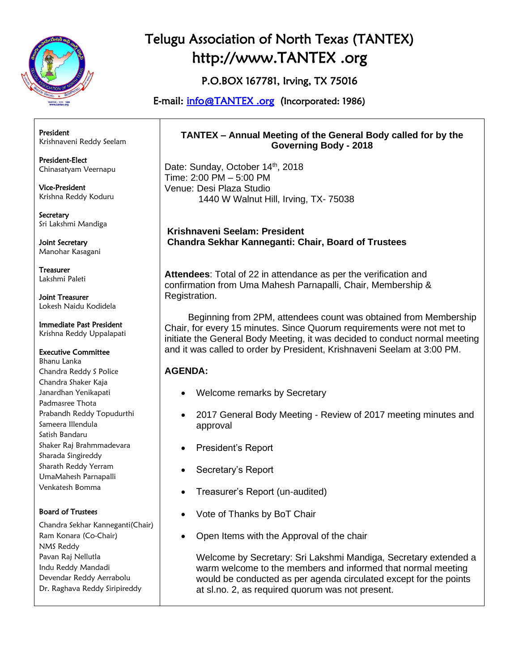

P.O.BOX 167781, Irving, TX 75016

E-mail: [info@TANTEX .org](mailto:info@tantex.org) (Incorporated: 1986)

President Krishnaveni Reddy Seelam

President-Elect Chinasatyam Veernapu

Vice-President Krishna Reddy Koduru

**Secretary** Sri Lakshmi Mandiga

Joint Secretary Manohar Kasagani

Treasurer Lakshmi Paleti

Joint Treasurer Lokesh Naidu Kodidela

### Immediate Past President

Krishna Reddy Uppalapati

#### Executive Committee

Bhanu Lanka Chandra Reddy S Police Chandra Shaker Kaja Janardhan Yenikapati Padmasree Thota Prabandh Reddy Topudurthi Sameera Illendula Satish Bandaru Shaker Raj Brahmmadevara Sharada Singireddy Sharath Reddy Yerram UmaMahesh Parnapalli Venkatesh Bomma

### Board of Trustees

Chandra Sekhar Kanneganti(Chair) Ram Konara (Co-Chair) NMS Reddy Pavan Raj Nellutla Indu Reddy Mandadi Devendar Reddy Aerrabolu Dr. Raghava Reddy Siripireddy

#### **TANTEX – Annual Meeting of the General Body called for by the Governing Body - 2018**

Date: Sunday, October 14<sup>th</sup>, 2018 Time: 2:00 PM – 5:00 PM Venue: Desi Plaza Studio 1440 W Walnut Hill, Irving, TX- 75038

**Krishnaveni Seelam: President Chandra Sekhar Kanneganti: Chair, Board of Trustees**

**Attendees**: Total of 22 in attendance as per the verification and confirmation from Uma Mahesh Parnapalli, Chair, Membership & Registration.

 Beginning from 2PM, attendees count was obtained from Membership Chair, for every 15 minutes. Since Quorum requirements were not met to initiate the General Body Meeting, it was decided to conduct normal meeting and it was called to order by President, Krishnaveni Seelam at 3:00 PM.

### **AGENDA:**

- Welcome remarks by Secretary
- 2017 General Body Meeting Review of 2017 meeting minutes and approval
- President's Report
- Secretary's Report
- Treasurer's Report (un-audited)
- Vote of Thanks by BoT Chair
- Open Items with the Approval of the chair

Welcome by Secretary: Sri Lakshmi Mandiga, Secretary extended a warm welcome to the members and informed that normal meeting would be conducted as per agenda circulated except for the points at sl.no. 2, as required quorum was not present.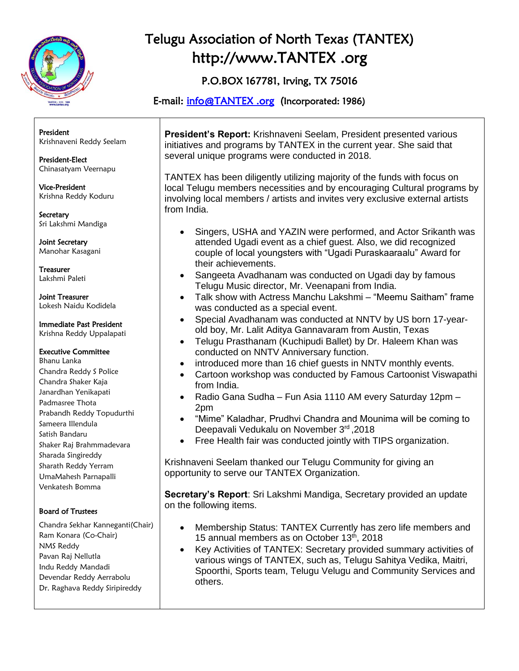

P.O.BOX 167781, Irving, TX 75016

E-mail: [info@TANTEX .org](mailto:info@tantex.org) (Incorporated: 1986)

President Krishnaveni Reddy Seelam

President-Elect Chinasatyam Veernapu

Vice-President Krishna Reddy Koduru

**Secretary** Sri Lakshmi Mandiga

Joint Secretary Manohar Kasagani

Treasurer Lakshmi Paleti

Joint Treasurer Lokesh Naidu Kodidela

Immediate Past President

Krishna Reddy Uppalapati

#### Executive Committee

Bhanu Lanka Chandra Reddy S Police Chandra Shaker Kaja Janardhan Yenikapati Padmasree Thota Prabandh Reddy Topudurthi Sameera Illendula Satish Bandaru Shaker Raj Brahmmadevara Sharada Singireddy Sharath Reddy Yerram UmaMahesh Parnapalli Venkatesh Bomma

### Board of Trustees

Chandra Sekhar Kanneganti(Chair) Ram Konara (Co-Chair) NMS Reddy Pavan Raj Nellutla Indu Reddy Mandadi Devendar Reddy Aerrabolu Dr. Raghava Reddy Siripireddy

**President's Report:** Krishnaveni Seelam, President presented various initiatives and programs by TANTEX in the current year. She said that several unique programs were conducted in 2018.

TANTEX has been diligently utilizing majority of the funds with focus on local Telugu members necessities and by encouraging Cultural programs by involving local members / artists and invites very exclusive external artists from India.

- Singers, USHA and YAZIN were performed, and Actor Srikanth was attended Ugadi event as a chief guest. Also, we did recognized couple of local youngsters with "Ugadi Puraskaaraalu" Award for their achievements.
- Sangeeta Avadhanam was conducted on Ugadi day by famous Telugu Music director, Mr. Veenapani from India.
- Talk show with Actress Manchu Lakshmi "Meemu Saitham" frame was conducted as a special event.
- Special Avadhanam was conducted at NNTV by US born 17-yearold boy, Mr. Lalit Aditya Gannavaram from Austin, Texas
- Telugu Prasthanam (Kuchipudi Ballet) by Dr. Haleem Khan was conducted on NNTV Anniversary function.
- introduced more than 16 chief guests in NNTV monthly events.
- Cartoon workshop was conducted by Famous Cartoonist Viswapathi from India.
- Radio Gana Sudha Fun Asia 1110 AM every Saturday 12pm 2pm
- "Mime" Kaladhar, Prudhvi Chandra and Mounima will be coming to Deepavali Vedukalu on November 3rd, 2018
- Free Health fair was conducted jointly with TIPS organization.

Krishnaveni Seelam thanked our Telugu Community for giving an opportunity to serve our TANTEX Organization.

**Secretary's Report**: Sri Lakshmi Mandiga, Secretary provided an update on the following items.

- Membership Status: TANTEX Currently has zero life members and 15 annual members as on October 13<sup>th</sup>, 2018
- Key Activities of TANTEX: Secretary provided summary activities of various wings of TANTEX, such as, Telugu Sahitya Vedika, Maitri, Spoorthi, Sports team, Telugu Velugu and Community Services and others.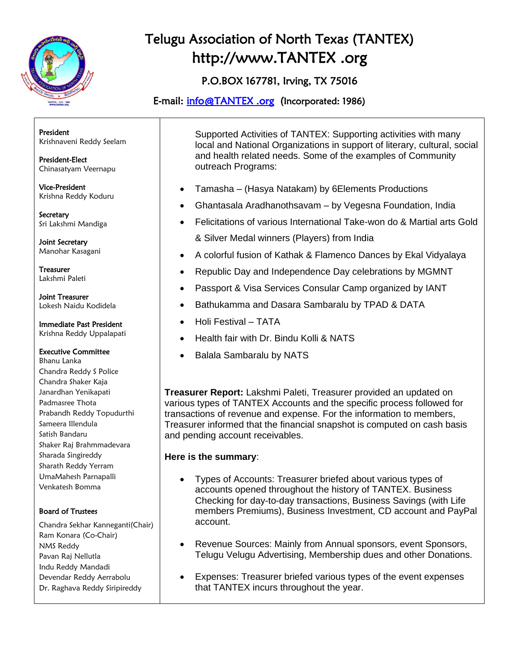

P.O.BOX 167781, Irving, TX 75016

E-mail: [info@TANTEX .org](mailto:info@tantex.org) (Incorporated: 1986)

President Krishnaveni Reddy Seelam

President-Elect Chinasatyam Veernapu

Vice-President Krishna Reddy Koduru

**Secretary** Sri Lakshmi Mandiga

Joint Secretary Manohar Kasagani

Treasurer Lakshmi Paleti

Joint Treasurer Lokesh Naidu Kodidela

Immediate Past President

Krishna Reddy Uppalapati

### Executive Committee

Bhanu Lanka Chandra Reddy S Police Chandra Shaker Kaja Janardhan Yenikapati Padmasree Thota Prabandh Reddy Topudurthi Sameera Illendula Satish Bandaru Shaker Raj Brahmmadevara Sharada Singireddy Sharath Reddy Yerram UmaMahesh Parnapalli Venkatesh Bomma

### Board of Trustees

Chandra Sekhar Kanneganti(Chair) Ram Konara (Co-Chair) NMS Reddy Pavan Raj Nellutla Indu Reddy Mandadi Devendar Reddy Aerrabolu Dr. Raghava Reddy Siripireddy

Supported Activities of TANTEX: Supporting activities with many local and National Organizations in support of literary, cultural, social and health related needs. Some of the examples of Community outreach Programs:

- Tamasha (Hasya Natakam) by 6Elements Productions
- Ghantasala Aradhanothsavam by Vegesna Foundation, India
- Felicitations of various International Take-won do & Martial arts Gold & Silver Medal winners (Players) from India
- A colorful fusion of Kathak & Flamenco Dances by Ekal Vidyalaya
- Republic Day and Independence Day celebrations by MGMNT
- Passport & Visa Services Consular Camp organized by IANT
- Bathukamma and Dasara Sambaralu by TPAD & DATA
- Holi Festival TATA
- Health fair with Dr. Bindu Kolli & NATS
- Balala Sambaralu by NATS

**Treasurer Report:** Lakshmi Paleti, Treasurer provided an updated on various types of TANTEX Accounts and the specific process followed for transactions of revenue and expense. For the information to members, Treasurer informed that the financial snapshot is computed on cash basis and pending account receivables.

### **Here is the summary**:

- Types of Accounts: Treasurer briefed about various types of accounts opened throughout the history of TANTEX. Business Checking for day-to-day transactions, Business Savings (with Life members Premiums), Business Investment, CD account and PayPal account.
- Revenue Sources: Mainly from Annual sponsors, event Sponsors, Telugu Velugu Advertising, Membership dues and other Donations.
- Expenses: Treasurer briefed various types of the event expenses that TANTEX incurs throughout the year.